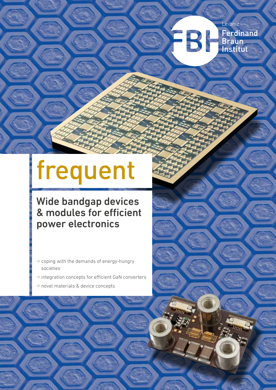## Leibniz FBI **Ferdinand** Braun<br>Institut

# frequent

# Wide bandgap devices & modules for efficient power electronics

- $\rightarrow$  coping with the demands of energy-hungry societies
- $\Rightarrow$  integration concepts for efficient GaN converters
- W novel materials & device concepts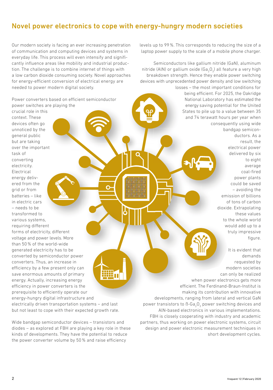## Novel power electronics to cope with energy-hungry modern societies

Our modern society is facing an ever increasing penetration of communication and computing devices and systems in everyday life. This process will even intensify and significantly influence areas like mobility and industrial production. The challenge is to combine internet of things with a low carbon dioxide consuming society. Novel approaches for energy-efficient conversion of electrical energy are needed to power modern digital society.

Power converters based on efficient semiconductor power switches are playing the

crucial role in this context. These devices often go unnoticed by the general public but are taking over the important task of converting electricity. Electrical energy delivered from the grid or from batteries – like in electric cars – needs to be transformed to various systems, requiring different

forms of electricity, different voltage and power levels. More than 50 % of the world-wide generated electricity has to be converted by semiconductor power converters. Thus, an increase in efficiency by a few present only can save enormous amounts of primary energy. Actually, increasing energy efficiency in power converters is the prerequisite to efficiently operate our energy-hungry digital infrastructure and

electrically driven transportation systems – and last but not least to cope with their expected growth rate.

Wide bandgap semiconductor devices – transistors and diodes – as explored at FBH are playing a key role in these kinds of developments. They have the potential to reduce the power converter volume by 50 % and raise efficiency

**THE 11** 

levels up to 99 %. This corresponds to reducing the size of a laptop power supply to the scale of a mobile phone charger.

Semiconductors like gallium nitride (GaN), aluminum nitride (AlN) or gallium oxide (Ga<sub>2</sub>O<sub>3</sub>) all feature a very high breakdown strength. Hence they enable power switching devices with unprecedented power density and low switching losses – the most important conditions for

being efficient. For 2025, the Oakridge National Laboratory has estimated the energy saving potential for the United States to pile up to a value between 35 and 74 terawatt hours per year when consequently using wide bandgap semicon-

> ductors. As a result, the electrical power delivered by six to eight average coal-fired power plants could be saved – avoiding the emission of billions of tons of carbon dioxide. Extrapolating these values to the whole world would add up to a truly impressive figure.

It is evident that demands requested by modern societies can only be realized when power electronics gets more efficient. The Ferdinand-Braun-Institut is making its contribution with innovative developments, ranging from lateral and vertical GaN power transistors to  $\text{B-Ga}_2\text{O}_3$  power switching devices and AlN-based electronics in various implementations. FBH is closely cooperating with industry and academic partners, thus working on power electronic systems, circuit design and power electronic measurement techniques in short development cycles.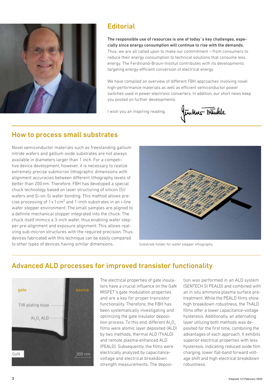

## **Editorial**

The responsible use of resources is one of today`s key challenges, especially since energy consumption will continue to rise with the demands. Thus, we are all called upon to make our commitment – from consumers to reduce their energy consumption to technical solutions that consume less energy. The Ferdinand-Braun-Institut contributes with its developments targeting energy-efficient conversion of electrical energy.

We have compiled an overview of different FBH approaches involving novel high-performance materials as well as efficient semiconductor power switches used in power-electronic converters. In addition, our short news keep you posted on further developments.

I wish you an inspiring reading,

funtes Trankle

## How to process small substrates

Novel semiconductor materials such as freestanding gallium nitride wafers and gallium oxide substrates are not always available in diameters larger than 1 inch. For a competitive device development, however, it is necessary to realize extremely precise submicron lithographic dimensions with alignment accuracies between different lithography levels of better than 200nm. Therefore, FBH has developed a special chuck technology based on laser structuring of silicon (Si) wafers and Si-on-Si wafer bonding. This method allows precise processing of  $1 \times 1$  cm<sup>2</sup> and  $1$ -inch substrates in an i-line wafer stepper environment. The small samples are aligned to a definite mechanical stopper integrated into the chuck. The chuck itself mimics a 3-inch wafer, thus enabling wafer stepper pre-alignment and exposure alignment. This allows realizing sub-micron structures with the required precision. Thus, devices fabricated with this technique can be easily compared to other types of devices having similar dimensions. Substrate holder for wafer stepper lithography



## Advanced ALD processes for improved transistor functionality



The electrical properties of gate insulators have a crucial influence on the GaN MISFET's gate modulation properties and are a key for proper transistor functionality. Therefore, the FBH has been systematically investigating and optimizing the gate insulator deposition process. To this end, different  $\mathsf{Al}_2\mathsf{O}_3$ films were atomic layer deposited (ALD) by two methods, thermal ALD (ThALD) and remote plasma-enhanced ALD (PEALD). Subsequently, the films were electrically analyzed by capacitancevoltage and electrical breakdown strength measurements. The deposition was performed in an ALD system (SENTECH SI PEALD) and combined with an in situ ammonia plasma surface pretreatment. While the PEALD films show high breakdown robustness, the ThALD films offer a lower capacitance-voltage hysteresis. Additionally, an alternating layer utilizing both methods was deposited for the first time, combining the advantages of each approach. It exhibits superior electrical properties with less hysteresis, indicating reduced oxide film charging, lower flat-band forward voltage shift and high electrical breakdown robustness.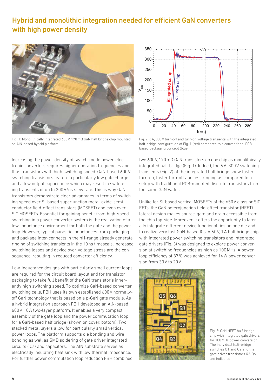## Hybrid and monolithic integration needed for efficient GaN converters with high power density



Fig. 1: Monolithically integrated 600V, 170mΩ GaN half bridge chip mounted on AlN-based hybrid platform

Increasing the power density of switch-mode power-electronic converters requires higher operation frequencies and thus transistors with high switching speed. GaN-based 600V switching transistors feature a particularly low gate charge and a low output capacitance which may result in switching transients of up to 200V/ns slew rate. This is why GaN transistors demonstrate clear advantages in terms of switching speed over Si-based superjunction metal-oxide-semiconductor field-effect transistors (MOSFET) and even over SiC MOSFETs. Essential for gaining benefit from high-speed switching in a power converter system is the realization of a low-inductance environment for both the gate and the power loop. However, typical parasitic inductances from packaging and package inter-connects in the nH-range already generate ringing of switching transients in the 10ns timescale. Increased switching losses and device over-voltage stress are the consequence, resulting in reduced converter efficiency.

Low-inductance designs with particularly small current loops are required for the circuit board layout and for transistor packaging to take full benefit of the GaN transistor's inherently high switching speed. To optimize GaN-based converter switching cells, FBH uses its own established 600V normallyoff GaN technology that is based on a p-GaN gate module. As a hybrid integration approach FBH developed an AlN-based 600V, 10A two-layer platform. It enables a very compact assembly of the gate loop and the power commutation loop for a GaN-based half bridge (shown on cover, bottom). Two stacked metal layers allow for particularly small vertical power loops. The platform supports die bonding and wire bonding as well as SMD soldering of gate driver integrated circuits (ICs) and capacitors. The AlN substrate serves as electrically insulating heat sink with low thermal impedance. For further power commutation loop reduction FBH combined



Fig. 2: 6A, 300V turn-off and turn-on voltage transients with the integrated half-bridge configuration of Fig. 1 (red) compared to a conventional PCBbased packaging concept (blue)

two 600V, 170mΩ GaN transistors on one chip as monolithically integrated half bridge (Fig. 1). Indeed, the 6A, 300V switching transients (Fig. 2) of the integrated half bridge show faster turn-on, faster turn-off and less ringing as compared to a setup with traditional PCB-mounted discrete transistors from the same GaN wafer.

Unlike for Si-based vertical MOSFETs of the 650V class or SiC FETs, the GaN heterojunction field-effect transistor (HFET) lateral design makes source, gate and drain accessible from the chip top-side. Moreover, it offers the opportunity to laterally integrate different device functionalities on one die and to realize very fast GaN-based ICs. A 60V, 1A half bridge chip with integrated power switching transistors and integrated gate drivers (Fig. 3) was designed to explore power conversion at switching frequencies as high as 100MHz. A power loop efficiency of 87% was achieved for 14W power conversion from 30V to 20V.



Fig. 3: GaN HFET half-bridge chip with integrated gate drivers for 100MHz power conversion. The individual half-bridge switches Q1 and Q2 and the gate driver transistors Q3-Q6 are indicated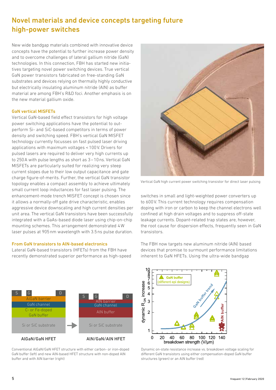## Novel materials and device concepts targeting future high-power switches

New wide bandgap materials combined with innovative device concepts have the potential to further increase power density and to overcome challenges of lateral gallium nitride (GaN) technologies. In this connection, FBH has started new initiatives targeting novel power switching devices. True vertical GaN power transistors fabricated on free-standing GaN substrates and devices relying on thermally highly conductive but electrically insulating aluminum nitride (AlN) as buffer material are among FBH's R&D foci. Another emphasis is on the new material gallium oxide.

#### GaN vertical MISFETs

Vertical GaN-based field effect transistors for high voltage power switching applications have the potential to outperform Si- and SiC-based competitors in terms of power density and switching speed. FBH's vertical GaN MISFET technology currently focusses on fast pulsed laser driving applications with maximum voltages < 100V. Drivers for pulsed lasers are required to deliver very high currents up to 250A with pulse lengths as short as 3–10ns. Vertical GaN MISFETs are particularly suited for realizing very steep current slopes due to their low output capacitance and gate charge figure-of-merits. Further, the vertical GaN transistor topology enables a compact assembly to achieve ultimately small current loop inductances for fast laser pulsing. The enhancement-mode trench MISFET concept is chosen since it allows a normally-off gate drive characteristic, enables aggressive device downscaling and high current densities per unit area. The vertical GaN transistors have been successfully integrated with a GaAs-based diode laser using chip-on-chip mounting schemes. This arrangement demonstrated 4W laser pulses at 905nm wavelength with 3.5ns pulse duration.

## From GaN transistors to AlN-based electronics

Lateral GaN-based transistors (HFETs) from the FBH have recently demonstrated superior performance as high-speed



Conventional AlGaN/GaN HFET structure with either carbon- or iron-doped GaN buffer (left) and new AlN-based HFET structure with non-doped AlN buffer and with AlN barrier (right)



Vertical GaN high current power switching transistor for direct laser pulsing

switches in small and light-weighted power converters up to 600V. This current technology requires compensation doping with iron or carbon to keep the channel electrons well confined at high drain voltages and to suppress off-state leakage currents. Dopant-related trap states are, however, the root cause for dispersion effects, frequently seen in GaN transistors.

The FBH now targets new aluminum nitride (AlN) based devices that promise to surmount performance limitations inherent to GaN HFETs. Using the ultra-wide bandgap



Dynamic on-state resistance increase vs. breakdown voltage scaling for different GaN transistors using either compensation-doped GaN buffer structures (green) or an AlN buffer (red)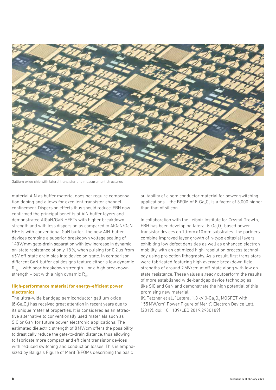

Gallium oxide chip with lateral transistor and measurement structures

material AlN as buffer material does not require compensation doping and allows for excellent transistor channel confinement. Dispersion effects thus should reduce. FBH now confirmed the principal benefits of AlN buffer layers and demonstrated AlGaN/GaN HFETs with higher breakdown strength and with less dispersion as compared to AlGaN/GaN HFETs with conventional GaN buffer. The new AlN-buffer devices combine a superior breakdown voltage scaling of 140V/mm gate-drain separation with low increase in dynamic on-state resistance of only 18%, when pulsing for 0.2μs from 65V off-state drain bias into device on-state. In comparison, different GaN-buffer epi designs feature either a low dynamic  $R_{ON}$  – with poor breakdown strength – or a high breakdown strength – but with a high dynamic  $R_{\text{ON}}$ .

## High-performance material for energy-efficient power electronics

The ultra-wide bandgap semiconductor gallium oxide (B-Ga<sub>2</sub>O<sub>3</sub>) has received great attention in recent years due to its unique material properties. It is considered as an attractive alternative to conventionally used materials such as SiC or GaN for future power electronic applications. The estimated dielectric strength of 8MV/cm offers the possibility to drastically reduce the gate-to-drain distance, thus allowing to fabricate more compact and efficient transistor devices with reduced switching and conduction losses. This is emphasized by Baliga's Figure of Merit (BFOM), describing the basic

suitability of a semiconductor material for power switching applications – the BFOM of B-Ga<sub>2</sub>O<sub>3</sub> is a factor of 3,000 higher than that of silicon.

In collaboration with the Leibniz Institute for Crystal Growth, FBH has been developing lateral  $\texttt{B-Ga}_{2}\texttt{O}_{3}$ -based power transistor devices on 10mmx10mm substrates. The partners combine improved layer growth of n-type epitaxial layers, exhibiting low defect densities as well as enhanced electron mobility, with an optimized high-resolution process technology using projection lithography. As a result, first transistors were fabricated featuring high average breakdown field strengths of around 2MV/cm at off-state along with low onstate resistance. These values already outperform the results of more established wide-bandgap device technologies like SiC and GaN and demonstrate the high potential of this promising new material.

[K. Tetzner et al., "Lateral 1.8 kV B-Ga<sub>2</sub>O<sub>3</sub> MOSFET with 155MW/cm<sup>2</sup>  [Power Figure of Merit", Electron Device L](https://www.fbh-berlin.de/publikationen-patente/publikationen/title/lateral-18-kv-beta-ga2o3-mosfet-with-155-mwcm2-power-figure-of)ett. (2019). doi: 10.1109/LED.2019.2930189]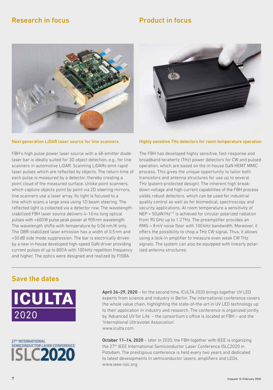## **Research in focus Product in focus**



#### Next generation LiDAR laser source for line scanners

FBH's high pulse power laser source with a 48-emitter diode laser bar is ideally suited for 3D object detection, e.g., for line scanners in automotive LiDAR. Scanning LiDARs emit rapid laser pulses which are reflected by objects. The return time of each pulse is measured by a detector, thereby creating a point cloud of the measured surface. Unlike point scanners, which capture objects point by point via 2D steering mirrors, line scanners use a laser array. Its light is focused to a line which scans a large area using 1D beam steering. The reflected light is collected via a detector row. The wavelengthstabilized FBH laser source delivers 4–10ns long optical pulses with >600W pulse peak power at 905nm wavelength. The wavelength shifts with temperature by 0.06nm/K only. The DBR-stabilized laser emission has a width of 0.5nm and >30dB side mode suppression. The bar is electrically driven by a new in-house developed high-speed GaN driver providing current pulses of up to 800A with 100kHz repetition frequency and higher. The optics were designed and realized by FISBA.



#### Highly sensitive THz detectors for room temperature operation

The FBH has developed highly sensitive, fast-response and broadband terahertz (THz) power detectors for CW and pulsed operation, which are based on the in-house GaN HEMT MMIC process. This gives the unique opportunity to tailor both transistors and antenna structures for use up to several THz (patent-protected design). The inherent high breakdown voltage and high current capabilities of the FBH process yields robust detectors, which can be used for industrial quality control as well as for biomedical, spectroscopy and security applications. At room temperature a sensitivity of  $NEP < 50pW/Hz^{1/2}$  is achieved for circular polarized radiation from 90 GHz up to 1.2THz. The preamplifier provides an RMS = 8mV noise floor with 100kHz bandwidth. Moreover, it offers the possibility to chop a THz CW signal. Thus, it allows using a lock-in amplifier to measure even weak CW THz signals. The system can also be equipped with linearly polarized antenna structures.

## Save the dates





April 26–29, 2020 – for the second time, ICULTA 2020 brings together UV LED experts from science and industry in Berlin. The international conference covers the whole value chain, highlighting the state-of-the-art in UV LED technology up to their application in industry and research. The conference is organized jointly by 'Advanced UV for Life' – the consortium's office is located at FBH – and the 'International Ultraviolet Association'. [www.iculta.com](https://www.iculta.com)

October 11–14, 2020 – later in 2020, the FBH together with IEEE is organizing the 27th IEEE International Semiconductor Laser Conference ISLC2020 in Potsdam. The prestigious conference is held every two years and dedicated to latest developments in semiconductor lasers, amplifiers and LEDs. [www.ieee-islc.org](https://www.ieee-islc.org)